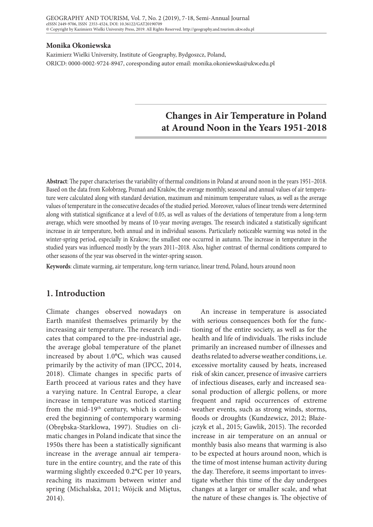#### **Monika Okoniewska**

Kazimierz Wielki University, Institute of Geography, Bydgoszcz, Poland, ORICD: 0000-0002-9724-8947, coresponding autor email: monika.okoniewska@ukw.edu.pl

# **Changes in Air Temperature in Poland at Around Noon in the Years 1951-2018**

**Abstract**: The paper characterises the variability of thermal conditions in Poland at around noon in the years 1951–2018. Based on the data from Kołobrzeg, Poznań and Kraków, the average monthly, seasonal and annual values of air temperature were calculated along with standard deviation, maximum and minimum temperature values, as well as the average values of temperature in the consecutive decades of the studied period. Moreover, values of linear trends were determined along with statistical significance at a level of 0.05, as well as values of the deviations of temperature from a long-term average, which were smoothed by means of 10-year moving averages. The research indicated a statistically significant increase in air temperature, both annual and in individual seasons. Particularly noticeable warming was noted in the winter-spring period, especially in Krakow; the smallest one occurred in autumn. The increase in temperature in the studied years was influenced mostly by the years 2011–2018. Also, higher contrast of thermal conditions compared to other seasons of the year was observed in the winter-spring season.

**Keywords**: climate warming, air temperature, long-term variance, linear trend, Poland, hours around noon

# **1. Introduction**

Climate changes observed nowadays on Earth manifest themselves primarily by the increasing air temperature. The research indicates that compared to the pre-industrial age, the average global temperature of the planet increased by about 1.0°C, which was caused primarily by the activity of man (IPCC, 2014, 2018). Climate changes in specific parts of Earth proceed at various rates and they have a varying nature. In Central Europe, a clear increase in temperature was noticed starting from the mid-19<sup>th</sup> century, which is considered the beginning of contemporary warming (Obrębska-Starklowa, 1997). Studies on climatic changes in Poland indicate that since the 1950s there has been a statistically significant increase in the average annual air temperature in the entire country, and the rate of this warming slightly exceeded 0.2°C per 10 years, reaching its maximum between winter and spring (Michalska, 2011; Wójcik and Miętus, 2014).

An increase in temperature is associated with serious consequences both for the functioning of the entire society, as well as for the health and life of individuals. The risks include primarily an increased number of illnesses and deaths related to adverse weather conditions, i.e. excessive mortality caused by heats, increased risk of skin cancer, presence of invasive carriers of infectious diseases, early and increased seasonal production of allergic pollens, or more frequent and rapid occurrences of extreme weather events, such as strong winds, storms, floods or droughts (Kundzewicz, 2012; Błażejczyk et al., 2015; Gawlik, 2015). The recorded increase in air temperature on an annual or monthly basis also means that warming is also to be expected at hours around noon, which is the time of most intense human activity during the day. Therefore, it seems important to investigate whether this time of the day undergoes changes at a larger or smaller scale, and what the nature of these changes is. The objective of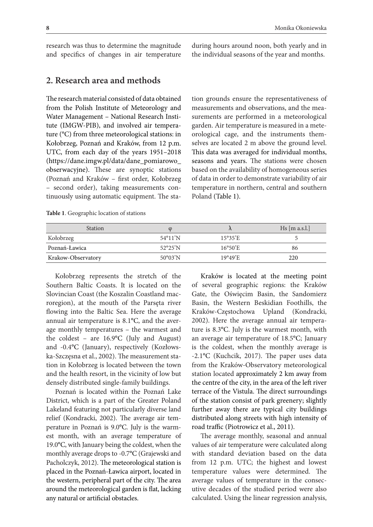research was thus to determine the magnitude and specifics of changes in air temperature during hours around noon, both yearly and in the individual seasons of the year and months.

# **2. Research area and methods**

The research material consisted of data obtained from the Polish Institute of Meteorology and Water Management – National Research Institute (IMGW-PIB), and involved air temperature (°C) from three meteorological stations: in Kołobrzeg, Poznań and Kraków, from 12 p.m. UTC, from each day of the years 1951–2018 (https://dane.imgw.pl/data/dane\_pomiarowo\_ obserwacyjne). These are synoptic stations (Poznań and Kraków – first order, Kołobrzeg – second order), taking measurements continuously using automatic equipment. The sta-

tion grounds ensure the representativeness of measurements and observations, and the measurements are performed in a meteorological garden. Air temperature is measured in a meteorological cage, and the instruments themselves are located 2 m above the ground level. This data was averaged for individual months, seasons and years. The stations were chosen based on the availability of homogeneous series of data in order to demonstrate variability of air temperature in northern, central and southern Poland (Table 1).

| <b>Station</b>     |                          |                   | $Hs$ [m a.s.l.] |
|--------------------|--------------------------|-------------------|-----------------|
| Kołobrzeg          | $54^{\circ}11'$ N        | $15^{\circ}35$ 'E |                 |
| Poznań-Ławica      | $52^{\circ}25'$ N        | $16^{\circ}50'E$  | 86              |
| Krakow-Observatory | $50^{\circ}03^{\prime}N$ | $19^{\circ}49'E$  | 220             |

**Table 1**. Geographic location of stations

Kołobrzeg represents the stretch of the Southern Baltic Coasts. It is located on the Slovincian Coast (the Koszalin Coastland macroregion), at the mouth of the Parsęta river flowing into the Baltic Sea. Here the average annual air temperature is 8.1°C, and the average monthly temperatures – the warmest and the coldest – are 16.9°C (July and August) and -0.4°C (January), respectively (Kozłowska-Szczęsna et al., 2002). The measurement station in Kołobrzeg is located between the town and the health resort, in the vicinity of low but densely distributed single-family buildings.

Poznań is located within the Poznań Lake District, which is a part of the Greater Poland Lakeland featuring not particularly diverse land relief (Kondracki, 2002). The average air temperature in Poznań is 9.0°C. July is the warmest month, with an average temperature of 19.0°C, with January being the coldest, when the monthly average drops to -0.7°C (Grajewski and Pacholczyk, 2012). The meteorological station is placed in the Poznań-Ławica airport, located in the western, peripheral part of the city. The area around the meteorological garden is flat, lacking any natural or artificial obstacles.

Kraków is located at the meeting point of several geographic regions: the Kraków Gate, the Oświęcim Basin, the Sandomierz Basin, the Western Beskidian Foothills, the Kraków-Częstochowa Upland (Kondracki, 2002). Here the average annual air temperature is 8.3°C. July is the warmest month, with an average air temperature of 18.5°C; January is the coldest, when the monthly average is -2.1°C (Kuchcik, 2017). The paper uses data from the Kraków-Observatory meteorological station located approximately 2 km away from the centre of the city, in the area of the left river terrace of the Vistula. The direct surroundings of the station consist of park greenery; slightly further away there are typical city buildings distributed along streets with high intensity of road traffic (Piotrowicz et al., 2011).

The average monthly, seasonal and annual values of air temperature were calculated along with standard deviation based on the data from 12 p.m. UTC; the highest and lowest temperature values were determined. The average values of temperature in the consecutive decades of the studied period were also calculated. Using the linear regression analysis,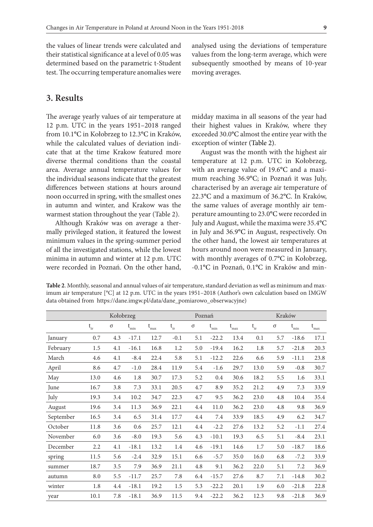the values of linear trends were calculated and their statistical significance at a level of 0.05 was determined based on the parametric t-Student test. The occurring temperature anomalies were analysed using the deviations of temperature values from the long-term average, which were subsequently smoothed by means of 10-year moving averages.

### **3. Results**

The average yearly values of air temperature at 12 p.m. UTC in the years 1951–2018 ranged from 10.1°C in Kołobrzeg to 12.3°C in Kraków, while the calculated values of deviation indicate that at the time Krakow featured more diverse thermal conditions than the coastal area. Average annual temperature values for the individual seasons indicate that the greatest differences between stations at hours around noon occurred in spring, with the smallest ones in autumn and winter, and Krakow was the warmest station throughout the year (Table 2).

Although Kraków was on average a thermally privileged station, it featured the lowest minimum values in the spring-summer period of all the investigated stations, while the lowest minima in autumn and winter at 12 p.m. UTC were recorded in Poznań. On the other hand,

midday maxima in all seasons of the year had their highest values in Kraków, where they exceeded 30.0°C almost the entire year with the exception of winter (Table 2).

August was the month with the highest air temperature at 12 p.m. UTC in Kołobrzeg, with an average value of 19.6°C and a maximum reaching 36.9°C; in Poznań it was July, characterised by an average air temperature of 22.3°C and a maximum of 36.2°C. In Kraków, the same values of average monthly air temperature amounting to 23.0°C were recorded in July and August, while the maxima were 35.4°C in July and 36.9°C in August, respectively. On the other hand, the lowest air temperatures at hours around noon were measured in January, with monthly averages of 0.7°C in Kołobrzeg, -0.1°C in Poznań, 0.1°C in Kraków and min-

**Table 2**. Monthly, seasonal and annual values of air temperature, standard deviation as well as minimum and maximum air temperature [°C] at 12 p.m. UTC in the years 1951–2018 (Author's own calculation based on IMGW data obtained from https://dane.imgw.pl/data/dane\_pomiarowo\_obserwacyjne)

|           |                                            |          | Poznań        |               |                            | Kraków   |                       |               |                                    |          |                   |               |
|-----------|--------------------------------------------|----------|---------------|---------------|----------------------------|----------|-----------------------|---------------|------------------------------------|----------|-------------------|---------------|
|           | $\mathfrak{t}_{\mbox{\tiny\rm\acute{S}r}}$ | $\sigma$ | $t_{\rm min}$ | $\rm t_{max}$ | $\mathsf{t}_{\mathsf{sr}}$ | $\sigma$ | $\mathfrak{t}_{\min}$ | $\rm t_{max}$ | $\mathsf{t}_{\mathsf{\acute{e}r}}$ | $\sigma$ | $\rm t_{\rm min}$ | $\rm t_{max}$ |
| January   | 0.7                                        | 4.3      | $-17.1$       | 12.7          | $-0.1$                     | 5.1      | $-22.2$               | 13.4          | 0.1                                | 5.7      | $-18.6$           | 17.1          |
| February  | 1.5                                        | 4.1      | $-16.1$       | 16.8          | 1.2                        | 5.0      | $-19.4$               | 16.2          | 1.8                                | 5.7      | $-21.8$           | 20.3          |
| March     | 4.6                                        | 4.1      | $-8.4$        | 22.4          | 5.8                        | 5.1      | $-12.2$               | 22.6          | 6.6                                | 5.9      | $-11.1$           | 23.8          |
| April     | 8.6                                        | 4.7      | $-1.0$        | 28.4          | 11.9                       | 5.4      | $-1.6$                | 29.7          | 13.0                               | 5.9      | $-0.8$            | 30.7          |
| May       | 13.0                                       | 4.6      | 1.8           | 30.7          | 17.3                       | 5.2      | $0.4\,$               | 30.6          | 18.2                               | 5.5      | 1.6               | 33.1          |
| June      | 16.7                                       | 3.8      | 7.3           | 33.1          | 20.5                       | 4.7      | 8.9                   | 35.2          | 21.2                               | 4.9      | 7.3               | 33.9          |
| July      | 19.3                                       | 3.4      | 10.2          | 34.7          | 22.3                       | 4.7      | 9.5                   | 36.2          | 23.0                               | 4.8      | 10.4              | 35.4          |
| August    | 19.6                                       | 3.4      | 11.3          | 36.9          | 22.1                       | 4.4      | 11.0                  | 36.2          | 23.0                               | 4.8      | 9.8               | 36.9          |
| September | 16.5                                       | 3.4      | 6.5           | 31.4          | 17.7                       | 4.4      | 7.4                   | 33.9          | 18.5                               | 4.9      | 6.2               | 34.7          |
| October   | 11.8                                       | 3.6      | 0.6           | 25.7          | 12.1                       | 4.4      | $-2.2$                | 27.6          | 13.2                               | 5.2      | $-1.1$            | 27.4          |
| November  | 6.0                                        | 3.6      | $-8.0$        | 19.3          | 5.6                        | 4.3      | $-10.1$               | 19.3          | 6.5                                | 5.1      | $-8.4$            | 23.1          |
| December  | 2.2                                        | 4.1      | $-18.1$       | 13.2          | 1.4                        | 4.6      | $-19.1$               | 14.6          | 1.7                                | 5.0      | $-18.7$           | 18.6          |
| spring    | 11.5                                       | 5.6      | $-2.4$        | 32.9          | 15.1                       | 6.6      | $-5.7$                | 35.0          | 16.0                               | 6.8      | $-7.2$            | 33.9          |
| summer    | 18.7                                       | 3.5      | 7.9           | 36.9          | 21.1                       | 4.8      | 9.1                   | 36.2          | 22.0                               | 5.1      | 7.2               | 36.9          |
| autumn    | 8.0                                        | 5.5      | $-11.7$       | 25.7          | 7.8                        | 6.4      | $-15.7$               | 27.6          | 8.7                                | 7.1      | $-14.8$           | 30.2          |
| winter    | 1.8                                        | 4.4      | $-18.1$       | 19.2          | 1.5                        | 5.3      | $-22.2$               | 20.1          | 1.9                                | 6.0      | $-21.8$           | 22.8          |
| year      | 10.1                                       | 7.8      | $-18.1$       | 36.9          | 11.5                       | 9.4      | $-22.2$               | 36.2          | 12.3                               | 9.8      | $-21.8$           | 36.9          |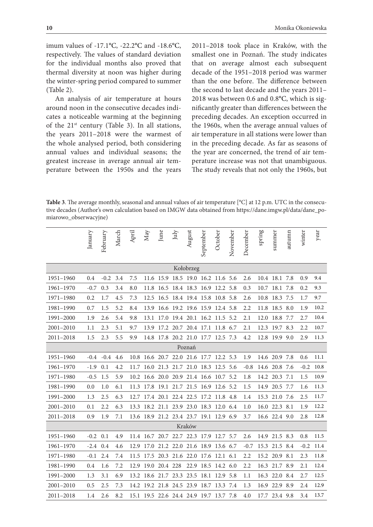imum values of -17.1°C, -22.2°C and -18.6°C, respectively. The values of standard deviation for the individual months also proved that thermal diversity at noon was higher during the winter-spring period compared to summer (Table 2).

An analysis of air temperature at hours around noon in the consecutive decades indicates a noticeable warming at the beginning of the 21<sup>st</sup> century (Table 3). In all stations, the years 2011–2018 were the warmest of the whole analysed period, both considering annual values and individual seasons; the greatest increase in average annual air temperature between the 1950s and the years 2011–2018 took place in Kraków, with the smallest one in Poznań. The study indicates that on average almost each subsequent decade of the 1951–2018 period was warmer than the one before. The difference between the second to last decade and the years 2011– 2018 was between 0.6 and 0.8°C, which is significantly greater than differences between the preceding decades. An exception occurred in the 1960s, when the average annual values of air temperature in all stations were lower than in the preceding decade. As far as seasons of the year are concerned, the trend of air temperature increase was not that unambiguous. The study reveals that not only the 1960s, but

**Table 3**. The average monthly, seasonal and annual values of air temperature [°C] at 12 p.m. UTC in the consecutive decades (Author's own calculation based on IMGW data obtained from https://dane.imgw.pl/data/dane\_pomiarowo\_obserwacyjne)

|               | January | February | March | April | $\rm May$ | June     | July | August                                 | September | October | November | December | spring | summer        | autumn | winter | year |
|---------------|---------|----------|-------|-------|-----------|----------|------|----------------------------------------|-----------|---------|----------|----------|--------|---------------|--------|--------|------|
| Kołobrzeg     |         |          |       |       |           |          |      |                                        |           |         |          |          |        |               |        |        |      |
| 1951-1960     | 0.4     | $-0.2$   | 3.4   | 7.5   |           |          |      | 11.6 15.9 18.5 19.0 16.2 11.6 5.6      |           |         |          | 2.6      |        | 10.4 18.1 7.8 |        | 0.9    | 9.4  |
| 1961-1970     | $-0.7$  | 0.3      | 3.4   | 8.0   |           |          |      | 11.8 16.5 18.4 18.3 16.9 12.2          |           |         | 5.8      | 0.3      |        | 10.7 18.1 7.8 |        | 0.2    | 9.3  |
| 1971-1980     | 0.2     | 1.7      | 4.5   | 7.3   | 12.5      | 16.5     |      | 18.4 19.4 15.8 10.8                    |           |         | 5.8      | 2.6      | 10.8   | 18.3 7.5      |        | 1.7    | 9.7  |
| 1981-1990     | 0.7     | 1.5      | 5.2   | 8.4   | 13.9      |          |      | 16.6 19.2 19.6 15.9 12.4 5.8           |           |         |          | 2.2      |        | 11.8 18.5 8.0 |        | 1.9    | 10.2 |
| 1991-2000     | 1.9     | 2.6      | 5.4   | 9.8   |           |          |      | 13.1 17.0 19.4 20.1 16.2 11.5 5.2      |           |         |          | 2.1      |        | 12.0 18.8 7.7 |        | 2.7    | 10.4 |
| 2001-2010     | 1.1     | 2.3      | 5.1   | 9.7   | 13.9      |          |      | 17.2 20.7 20.4 17.1 11.8 6.7           |           |         |          | 2.1      | 12.3   | 19.7          | 8.3    | 2.2    | 10.7 |
| $2011 - 2018$ | 1.5     | 2.3      | 5.5   | 9.9   |           |          |      | 14.8 17.8 20.2 21.0 17.7 12.5 7.3      |           |         |          | 4.2      |        | 12.8 19.9 9.0 |        | 2.9    | 11.3 |
|               |         |          |       |       |           |          |      | Poznań                                 |           |         |          |          |        |               |        |        |      |
| 1951-1960     | $-0.4$  | $-0.4$   | 4.6   |       |           |          |      | 10.8 16.6 20.7 22.0 21.6 17.7 12.2 5.3 |           |         |          | 1.9      |        | 14.6 20.9 7.8 |        | 0.6    | 11.1 |
| 1961-1970     | $-1.9$  | 0.1      | 4.2   |       |           |          |      | 11.7 16.0 21.3 21.7 21.0 18.3 12.5 5.6 |           |         |          | $-0.8$   |        | 14.6 20.8 7.6 |        | $-0.2$ | 10.8 |
| 1971-1980     | $-0.5$  | 1.5      | 5.9   |       |           |          |      | 10.2 16.6 20.0 20.9 21.4 16.6 10.7 5.2 |           |         |          | 1.8      |        | 14.2 20.3 7.1 |        | 1.5    | 10.9 |
| 1981-1990     | 0.0     | 1.0      | 6.1   | 11.3  | 17.8      |          |      | 19.1 21.7 21.5 16.9 12.6 5.2           |           |         |          | 1.5      | 14.9   | 20.5 7.7      |        | 1.6    | 11.3 |
| 1991-2000     | 1.3     | 2.5      | 6.3   | 12.7  |           |          |      | 17.4 20.1 22.4 22.5 17.2 11.8 4.8      |           |         |          | 1.4      |        | 15.3 21.0 7.6 |        | 2.5    | 11.7 |
| 2001-2010     | 0.1     | 2.2      | 6.3   | 13.3  |           |          |      | 18.2 21.1 23.9 23.0 18.3               |           | 12.0    | 6.4      | 1.0      |        | 16.0 22.3     | 8.1    | 1.9    | 12.2 |
| 2011-2018     | 0.9     | 1.9      | 7.1   |       |           |          |      | 13.6 18.9 21.2 23.4 23.7 19.1 12.9 6.9 |           |         |          | 3.7      |        | 16.6 22.4 9.0 |        | 2.8    | 12.8 |
|               |         |          |       |       |           |          |      | Kraków                                 |           |         |          |          |        |               |        |        |      |
| 1951-1960     | $-0.2$  | 0.1      | 4.9   |       |           |          |      | 11.4 16.7 20.7 22.7 22.3 17.9 12.7     |           |         | 5.7      | 2.6      |        | 14.9 21.5 8.3 |        | 0.8    | 11.5 |
| 1961-1970     | $-2.4$  | 0.4      | 4.6   | 12.9  |           |          |      | 17.0 21.2 22.0 21.6 18.9 13.6 6.7      |           |         |          | $-0.7$   |        | 15.3 21.5 8.4 |        | $-0.2$ | 11.4 |
| 1971-1980     | $-0.1$  | 2.4      | 7.4   | 11.5  |           |          |      | 17.5 20.3 21.6 22.0 17.6 12.1          |           |         | 6.1      | 2.2      |        | 15.2 20.9     | 8.1    | 2.3    | 11.8 |
| 1981-1990     | 0.4     | 1.6      | 7.2   | 12.9  | 19.0      | 20.4 228 |      | 22.9                                   | 18.5      | 14.2    | 6.0      | 2.2      |        | 16.3 21.7     | 8.9    | 2.1    | 12.4 |
| 1991-2000     | 1.3     | 3.1      | 6.9   | 13.2  |           |          |      | 18.6 21.7 23.3 23.5 18.1 12.9 5.8      |           |         |          | 1.1      |        | 16.3 22.0 8.4 |        | 2.7    | 12.5 |
| $2001 - 2010$ | 0.5     | 2.5      | 7.3   | 14.2  |           |          |      | 19.2 21.8 24.5 23.9 18.7 13.3          |           |         | 7.4      | 1.3      |        | 16.9 22.9 8.9 |        | 2.4    | 12.9 |
| 2011-2018     | 1.4     | 2.6      | 8.2   |       |           |          |      | 15.1 19.5 22.6 24.4 24.9 19.7 13.7 7.8 |           |         |          | 4.0      | 17.7   | 23.4 9.8      |        | 3.4    | 13.7 |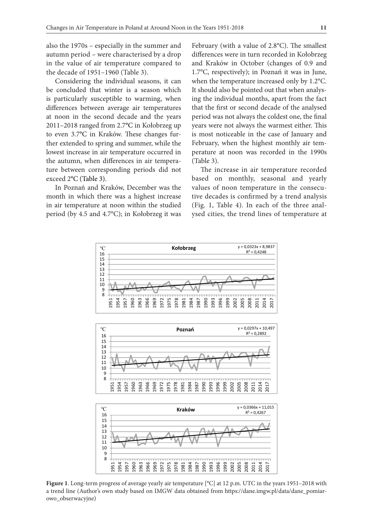also the 1970s – especially in the summer and autumn period – were characterised by a drop in the value of air temperature compared to the decade of 1951–1960 (Table 3).

Considering the individual seasons, it can be concluded that winter is a season which is particularly susceptible to warming, when differences between average air temperatures at noon in the second decade and the years 2011–2018 ranged from 2.7°C in Kołobrzeg up to even 3.7°C in Kraków. These changes further extended to spring and summer, while the lowest increase in air temperature occurred in the autumn, when differences in air temperature between corresponding periods did not exceed 2°C (Table 3).

In Poznań and Kraków, December was the month in which there was a highest increase in air temperature at noon within the studied period (by 4.5 and 4.7°C); in Kołobrzeg it was

February (with a value of 2.8°C). The smallest differences were in turn recorded in Kołobrzeg and Kraków in October (changes of 0.9 and 1.7°C, respectively); in Poznań it was in June, when the temperature increased only by 1.2°C. It should also be pointed out that when analysing the individual months, apart from the fact that the first or second decade of the analysed period was not always the coldest one, the final years were not always the warmest either. This is most noticeable in the case of January and February, when the highest monthly air temperature at noon was recorded in the 1990s (Table 3).

The increase in air temperature recorded based on monthly, seasonal and yearly values of noon temperature in the consecutive decades is confirmed by a trend analysis (Fig. 1, Table 4). In each of the three analysed cities, the trend lines of temperature at







**Figure 1**. Long-term progress of average yearly air temperature [°C] at 12 p.m. UTC in the years 1951–2018 with a trend line (Author's own study based on IMGW data obtained from https://dane.imgw.pl/data/dane\_pomiarowo\_obserwacyjne)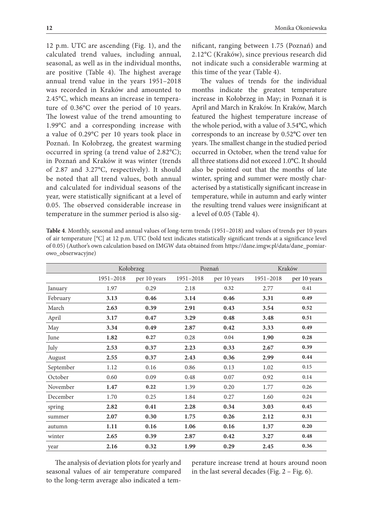12 p.m. UTC are ascending (Fig. 1), and the calculated trend values, including annual, seasonal, as well as in the individual months, are positive (Table 4). The highest average annual trend value in the years 1951–2018 was recorded in Kraków and amounted to 2.45°C, which means an increase in temperature of 0.36°C over the period of 10 years. The lowest value of the trend amounting to 1.99°C and a corresponding increase with a value of 0.29°C per 10 years took place in Poznań. In Kołobrzeg, the greatest warming occurred in spring (a trend value of 2.82°C); in Poznań and Kraków it was winter (trends of 2.87 and 3.27°C, respectively). It should be noted that all trend values, both annual and calculated for individual seasons of the year, were statistically significant at a level of 0.05. The observed considerable increase in temperature in the summer period is also significant, ranging between 1.75 (Poznań) and 2.12°C (Kraków), since previous research did not indicate such a considerable warming at this time of the year (Table 4).

The values of trends for the individual months indicate the greatest temperature increase in Kołobrzeg in May; in Poznań it is April and March in Kraków. In Kraków, March featured the highest temperature increase of the whole period, with a value of 3.54°C, which corresponds to an increase by 0.52°C over ten years. The smallest change in the studied period occurred in October, when the trend value for all three stations did not exceed 1.0°C. It should also be pointed out that the months of late winter, spring and summer were mostly characterised by a statistically significant increase in temperature, while in autumn and early winter the resulting trend values were insignificant at a level of 0.05 (Table 4).

**Table 4**. Monthly, seasonal and annual values of long-term trends (1951–2018) and values of trends per 10 years of air temperature [°C] at 12 p.m. UTC (bold text indicates statistically significant trends at a significance level of 0.05) (Author's own calculation based on IMGW data obtained from https://dane.imgw.pl/data/dane\_pomiarowo\_obserwacyjne)

|           |                                        | Kołobrzeg |              | Poznań    | Kraków       |      |  |  |
|-----------|----------------------------------------|-----------|--------------|-----------|--------------|------|--|--|
|           | 1951-2018<br>per 10 years<br>1951-2018 |           | per 10 years | 1951-2018 | per 10 years |      |  |  |
| January   | 1.97                                   | 0.29      | 2.18         | 0.32      | 2.77         | 0.41 |  |  |
| February  | 3.13                                   | 0.46      | 3.14         | 0.46      | 3.31         | 0.49 |  |  |
| March     | 2.63                                   | 0.39      | 2.91         | 0.43      | 3.54         | 0.52 |  |  |
| April     | 3.17                                   | 0.47      | 3.29         | 0.48      | 3.48         | 0.51 |  |  |
| May       | 3.34                                   | 0.49      | 2.87         | 0.42      | 3.33         | 0.49 |  |  |
| June      | 1.82                                   | 0.27      | 0.28         | 0.04      | 1.90         | 0.28 |  |  |
| July      | 2.53                                   | 0.37      | 2.23         | 0.33      | 2.67         | 0.39 |  |  |
| August    | 2.55                                   | 0.37      | 2.43         | 0.36      | 2.99         | 0.44 |  |  |
| September | 1.12                                   | 0.16      | 0.86         | 0.13      | 1.02         | 0.15 |  |  |
| October   | 0.60                                   | 0.09      | 0.48         | 0.07      | 0.92         | 0.14 |  |  |
| November  | 1.47                                   | 0.22      | 1.39         | 0.20      | 1.77         | 0.26 |  |  |
| December  | 1.70                                   | 0.25      | 1.84         | 0.27      | 1.60         | 0.24 |  |  |
| spring    | 2.82                                   | 0.41      | 2.28         | 0.34      | 3.03         | 0.45 |  |  |
| summer    | 2.07                                   | 0.30      | 1.75         | 0.26      | 2.12         | 0.31 |  |  |
| autumn    | 1.11                                   | 0.16      | 1.06         | 0.16      | 1.37         | 0.20 |  |  |
| winter    | 2.65                                   | 0.39      | 2.87         | 0.42      | 3.27         | 0.48 |  |  |
| year      | 2.16                                   | 0.32      | 1.99         | 0.29      | 2.45         | 0.36 |  |  |

The analysis of deviation plots for yearly and seasonal values of air temperature compared to the long-term average also indicated a temperature increase trend at hours around noon in the last several decades (Fig. 2 – Fig. 6).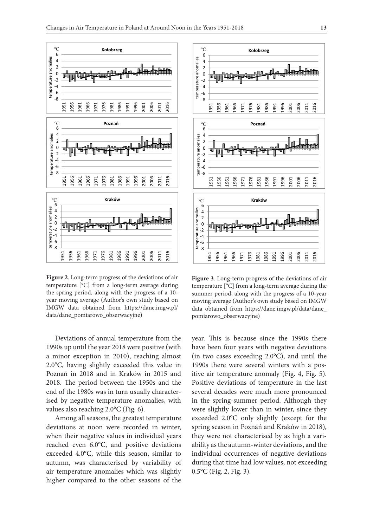

**Figure 2**. Long-term progress of the deviations of air temperature [°C] from a long-term average during the spring period, along with the progress of a 10 year moving average (Author's own study based on IMGW data obtained from https://dane.imgw.pl/ data/dane\_pomiarowo\_obserwacyjne)

Deviations of annual temperature from the 1990s up until the year 2018 were positive (with a minor exception in 2010), reaching almost 2.0°C, having slightly exceeded this value in Poznań in 2018 and in Kraków in 2015 and 2018. The period between the 1950s and the end of the 1980s was in turn usually characterised by negative temperature anomalies, with values also reaching 2.0°C (Fig. 6).

Among all seasons, the greatest temperature deviations at noon were recorded in winter, when their negative values in individual years reached even 6.0°C, and positive deviations exceeded 4.0°C, while this season, similar to autumn, was characterised by variability of air temperature anomalies which was slightly higher compared to the other seasons of the



**Figure 3**. Long-term progress of the deviations of air temperature [°C] from a long-term average during the summer period, along with the progress of a 10-year moving average (Author's own study based on IMGW data obtained from https://dane.imgw.pl/data/dane\_ pomiarowo\_obserwacyjne)

year. This is because since the 1990s there have been four years with negative deviations (in two cases exceeding 2.0°C), and until the 1990s there were several winters with a positive air temperature anomaly (Fig. 4, Fig. 5). Positive deviations of temperature in the last several decades were much more pronounced in the spring-summer period. Although they were slightly lower than in winter, since they exceeded 2.0°C only slightly (except for the spring season in Poznań and Kraków in 2018), they were not characterised by as high a variability as the autumn-winter deviations, and the individual occurrences of negative deviations during that time had low values, not exceeding 0.5°C (Fig. 2, Fig. 3).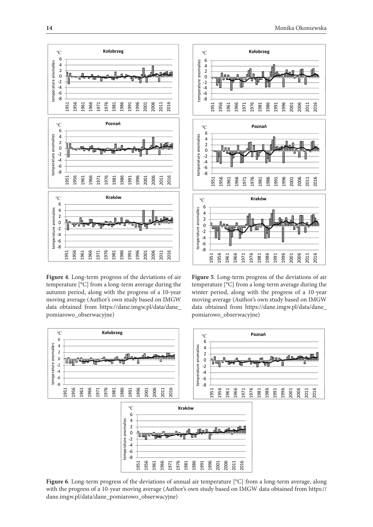

Figure 4. Long-term progress of the deviations of air temperature [°C] from a long-term average during the 0 autumn period, along with the progress of a 10-year moving average (Author's own study based on IMGW data obtained from https://dane.imgw.pl/data/dane\_ ‐8 pomiarowo\_obserwacyjne)  $\begin{bmatrix} 0 \\ 0 \\ 0 \\ 0 \\ s \end{bmatrix}$  $\overline{\phantom{a}}$  $\frac{e}{e}$ <br>of m



Figure 5. Long-term progress of the deviations of air temperature  $[°C]$  from a long-term average during the winter period, along with the progress of a 10-year moving average (Author's own study based on IMGW data obtained from https://dane.imgw.pl/data/dane\_ ‐6 pomiarowo\_obserwacyjne) erature and<br>international<br>internationalist pomiarowo\_obserwacyjne) tem<br>o<br>ut



**Figure 6**. Long-term progress of the deviations of annual air temperature [°C] from a long-term average, along ℃ **Kraków** with the progress of a 10-year moving average (Author's own study based on IMGW data obtained from https:// 6 dane.imgw.pl/data/dane\_pomiarowo\_obserwacyjne) 2 emperature and discriming the set of the set of the set of the set of the set of the set of the set of the set o<br>Extends the set of the set of the set of the set of the set of the set of the set of the set of the set of th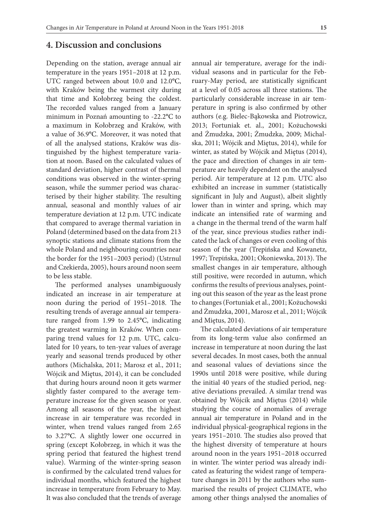#### **4. Discussion and conclusions**

Depending on the station, average annual air temperature in the years 1951–2018 at 12 p.m. UTC ranged between about 10.0 and 12.0°C, with Kraków being the warmest city during that time and Kołobrzeg being the coldest. The recorded values ranged from a January minimum in Poznań amounting to -22.2°C to a maximum in Kołobrzeg and Kraków, with a value of 36.9°C. Moreover, it was noted that of all the analysed stations, Kraków was distinguished by the highest temperature variation at noon. Based on the calculated values of standard deviation, higher contrast of thermal conditions was observed in the winter-spring season, while the summer period was characterised by their higher stability. The resulting annual, seasonal and monthly values of air temperature deviation at 12 p.m. UTC indicate that compared to average thermal variation in Poland (determined based on the data from 213 synoptic stations and climate stations from the whole Poland and neighbouring countries near the border for the 1951–2003 period) (Ustrnul and Czekierda, 2005), hours around noon seem to be less stable.

The performed analyses unambiguously indicated an increase in air temperature at noon during the period of 1951–2018. The resulting trends of average annual air temperature ranged from 1.99 to 2.45°C, indicating the greatest warming in Kraków. When comparing trend values for 12 p.m. UTC, calculated for 10 years, to ten-year values of average yearly and seasonal trends produced by other authors (Michalska, 2011; Marosz et al., 2011; Wójcik and Miętus, 2014), it can be concluded that during hours around noon it gets warmer slightly faster compared to the average temperature increase for the given season or year. Among all seasons of the year, the highest increase in air temperature was recorded in winter, when trend values ranged from 2.65 to 3.27°C. A slightly lower one occurred in spring (except Kołobrzeg, in which it was the spring period that featured the highest trend value). Warming of the winter-spring season is confirmed by the calculated trend values for individual months, which featured the highest increase in temperature from February to May. It was also concluded that the trends of average

annual air temperature, average for the individual seasons and in particular for the February-May period, are statistically significant at a level of 0.05 across all three stations. The particularly considerable increase in air temperature in spring is also confirmed by other authors (e.g. Bielec-Bąkowska and Piotrowicz, 2013; Fortuniak et. al., 2001; Kożuchowski and Żmudzka, 2001; Żmudzka, 2009; Michalska, 2011; Wójcik and Miętus, 2014), while for winter, as stated by Wójcik and Miętus (2014), the pace and direction of changes in air temperature are heavily dependent on the analysed period. Air temperature at 12 p.m. UTC also exhibited an increase in summer (statistically significant in July and August), albeit slightly lower than in winter and spring, which may indicate an intensified rate of warming and a change in the thermal trend of the warm half of the year, since previous studies rather indicated the lack of changes or even cooling of this season of the year (Trepińska and Kowanetz, 1997; Trepińska, 2001; Okoniewska, 2013). The smallest changes in air temperature, although still positive, were recorded in autumn, which confirms the results of previous analyses, pointing out this season of the year as the least prone to changes (Fortuniak et al., 2001; Kożuchowski and Żmudzka, 2001, Marosz et al., 2011; Wójcik and Miętus, 2014).

The calculated deviations of air temperature from its long-term value also confirmed an increase in temperature at noon during the last several decades. In most cases, both the annual and seasonal values of deviations since the 1990s until 2018 were positive, while during the initial 40 years of the studied period, negative deviations prevailed. A similar trend was obtained by Wójcik and Miętus (2014) while studying the course of anomalies of average annual air temperature in Poland and in the individual physical-geographical regions in the years 1951–2010. The studies also proved that the highest diversity of temperature at hours around noon in the years 1951–2018 occurred in winter. The winter period was already indicated as featuring the widest range of temperature changes in 2011 by the authors who summarised the results of project CLIMATE, who among other things analysed the anomalies of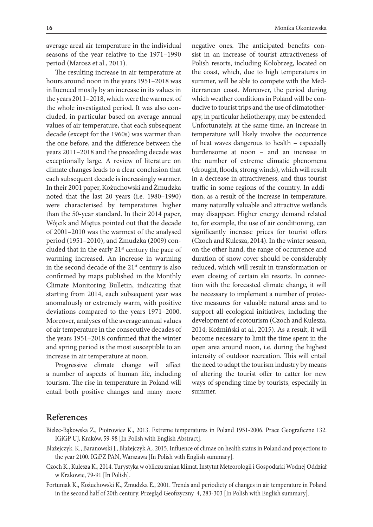average areal air temperature in the individual seasons of the year relative to the 1971–1990 period (Marosz et al., 2011).

The resulting increase in air temperature at hours around noon in the years 1951–2018 was influenced mostly by an increase in its values in the years 2011–2018, which were the warmest of the whole investigated period. It was also concluded, in particular based on average annual values of air temperature, that each subsequent decade (except for the 1960s) was warmer than the one before, and the difference between the years 2011–2018 and the preceding decade was exceptionally large. A review of literature on climate changes leads to a clear conclusion that each subsequent decade is increasingly warmer. In their 2001 paper, Kożuchowski and Żmudzka noted that the last 20 years (i.e. 1980–1990) were characterised by temperatures higher than the 50-year standard. In their 2014 paper, Wójcik and Miętus pointed out that the decade of 2001–2010 was the warmest of the analysed period (1951–2010), and Żmudzka (2009) concluded that in the early  $21<sup>st</sup>$  century the pace of warming increased. An increase in warming in the second decade of the  $21<sup>st</sup>$  century is also confirmed by maps published in the Monthly Climate Monitoring Bulletin, indicating that starting from 2014, each subsequent year was anomalously or extremely warm, with positive deviations compared to the years 1971–2000. Moreover, analyses of the average annual values of air temperature in the consecutive decades of the years 1951–2018 confirmed that the winter and spring period is the most susceptible to an increase in air temperature at noon.

Progressive climate change will affect a number of aspects of human life, including tourism. The rise in temperature in Poland will entail both positive changes and many more

negative ones. The anticipated benefits consist in an increase of tourist attractiveness of Polish resorts, including Kołobrzeg, located on the coast, which, due to high temperatures in summer, will be able to compete with the Mediterranean coast. Moreover, the period during which weather conditions in Poland will be conducive to tourist trips and the use of climatotherapy, in particular heliotherapy, may be extended. Unfortunately, at the same time, an increase in temperature will likely involve the occurrence of heat waves dangerous to health – especially burdensome at noon – and an increase in the number of extreme climatic phenomena (drought, floods, strong winds), which will result in a decrease in attractiveness, and thus tourist traffic in some regions of the country. In addition, as a result of the increase in temperature, many naturally valuable and attractive wetlands may disappear. Higher energy demand related to, for example, the use of air conditioning, can significantly increase prices for tourist offers (Czoch and Kulesza, 2014). In the winter season, on the other hand, the range of occurrence and duration of snow cover should be considerably reduced, which will result in transformation or even closing of certain ski resorts. In connection with the forecasted climate change, it will be necessary to implement a number of protective measures for valuable natural areas and to support all ecological initiatives, including the development of ecotourism (Czoch and Kulesza, 2014; Koźmiński at al., 2015). As a result, it will become necessary to limit the time spent in the open area around noon, i.e. during the highest intensity of outdoor recreation. This will entail the need to adapt the tourism industry by means of altering the tourist offer to catter for new ways of spending time by tourists, especially in summer.

## **References**

- Bielec-Bąkowska Z., Piotrowicz K., 2013. Extreme temperatures in Poland 1951-2006. Prace Geograficzne 132. IGiGP UJ, Kraków, 59-98 [In Polish with English Abstract].
- Błażejczyk. K., Baranowski J., Błażejczyk A., 2015. Influence of climae on health status in Poland and projections to the year 2100. IGiPZ PAN, Warszawa [In Polish with English summary].
- Czoch K., Kulesza K., 2014. Turystyka w obliczu zmian klimat. Instytut Meteorologii i Gospodarki Wodnej Oddział w Krakowie, 79-91 [In Polish].
- Fortuniak K., Kożuchowski K., Żmudzka E., 2001. Trends and periodicty of changes in air temperature in Poland in the second half of 20th century. Przegląd Geofizyczny 4, 283-303 [In Polish with English summary].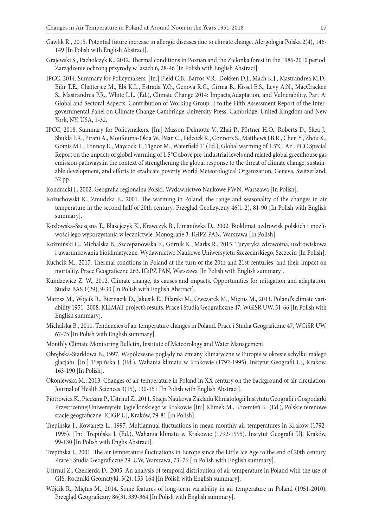- Gawlik R., 2015. Potential future increase in allergic diseases due to climate change. Alergologia Polska 2(4), 146- 149 [In Polish with English Abstract].
- Grajewski S., Pacholczyk K., 2012. Thermal conditions in Poznan and the Zielonka forest in the 1986-2010 period. Zarządzenie ochroną przyrody w lasach 6, 28-46 [In Polish with English Abstract].
- IPCC, 2014. Summary for Policymakers. [In:] Field C.B., Barros V.R., Dokken D.J., Mach K.J., Mastrandrea M.D., Bilir T.E., Chatterjee M., Ebi K.L., Estrada Y.O., Genova R.C., Girma B., Kissel E.S., Levy A.N., MacCracken S., Mastrandrea P.R., White L.L. (Ed.), Climate Change 2014: Impacts,Adaptation, and Vulnerability. Part A: Global and Sectoral Aspects. Contribution of Working Group II to the Fifth Assessment Report of the Intergovernmental Panel on Climate Change Cambridge University Press, Cambridge, United Kingdom and New York, NY, USA, 1-32.
- IPCC, 2018. Summary for Policymakers. [In:] Masson-Delmotte V., Zhai P., Pörtner H.O., Roberts D., Skea J., Shukla P.R., Pirani A., Moufouma-Okia W., Péan C., Pidcock R., Connors S., Matthews J.B.R., Chen Y., Zhou X., Gomis M.I., Lonnoy E., Maycock T., Tignor M., Waterfield T. (Ed.), Global warming of 1.5°C. An IPCC Special Report on the impacts of global warming of 1.5°C above pre-industrial levels and related global greenhouse gas emission pathways,in the context of strengthening the global response to the threat of climate change, sustainable development, and efforts to eradicate poverty World Meteorological Organization, Geneva, Switzerland, 32 pp.
- Kondracki J., 2002. Geografia regionalna Polski. Wydawnictwo Naukowe PWN, Warszawa [In Polish].
- Kożuchowski K., Żmudzka E., 2001. The warming in Poland: the range and seasonality of the changes in air temperature in the second half of 20th century*.* Przegląd Geofizyczny 46(1-2), 81-90 [In Polish with English summary].
- Kozłowska-Szczęsna T., Błażejczyk K., Krawczyk B., Limanówka D., 2002. Bioklimat uzdrowisk polskich i możliwości jego wykorzystania w lecznictwie. Monografie 3. IGiPZ PAN, Warszawa [In Polish].
- Koźmiński C., Michalska B., Szczepanowska E., Górnik K., Marks R., 2015. Turystyka zdrowotna, uzdrowiskowa i uwarunkowania bioklimatyczne. Wydawnictwo Naukowe Uniwersytetu Szczecińskiego, Szczecin [In Polish].
- Kuchcik M., 2017. Thermal condtions in Poland at the turn of the 20th and 21st centuries, and their impact on mortality. Prace Geograficzne 263. IGiPZ PAN, Warszawa [In Polish with English summary].
- Kundzewicz Z. W., 2012. Climate change, its causes and impacts. Opportunities for mitigation and adaptation. Studia BAS 1(29), 9-30 [In Polish with English Abstract].
- Marosz M., Wójcik R., Biernacik D., Jakusik E., Pilarski M., Owczarek M., Miętus M., 2011. Poland's climate variability 1951–2008. KLIMAT project's results. Prace i Studia Geograficzne 47. WGiSR UW, 51-66 [In Polish with English summary].
- Michalska B., 2011. Tendencies of air temperature changes in Poland. Prace i Studia Geograficzne 47, WGiSR UW, 67-75 [In Polish with English summary].
- Monthly Climate Monitoring Bulletin, Institute of Meteorology and Water Management.
- Obrębska-Starklowa B., 1997. Współczesne poglądy na zmiany klimatyczne w Europie w okresie schyłku małego glacjału. [In:] Trepińska J. (Ed.), Wahania klimatu w Krakowie (1792-1995). Instytut Geografii UJ, Kraków, 163-190 [In Polish].
- Okoniewska M., 2013. Changes of air temperature in Poland in XX century on the background of air circulation. Journal of Health Sciences 3(15), 130-151 [In Polish with English Abstract].
- Piotrowicz K., Pieczara P., Ustrnul Z., 2011. Stacja Naukowa Zakładu Klimatologii Instytutu Geografii i Gospodarki PrzestrzennejUniwersytetu Jagiellońskiego w Krakowie [In:] Klimek M., Krzemień K. (Ed.), Polskie terenowe stacje geograficzne. ICiGP UJ, Kraków, 79-81 [In Polish].
- Trepińska J., Kowanetz L., 1997*.* Multiannual fluctuations in mean monthly air temperatures in Kraków (1792- 1995). [In:] Trepińska J. (Ed.), Wahania klimatu w Krakowie (1792-1995). Instytut Geografii UJ, Kraków, 99-130 [In Polish with Englis Abstract].
- Trepińska J., 2001*.* The air temperature fluctuations in Europe since the Little Ice Age to the end of 20th century. Prace i Studia Geograficzne 29. UW, Warszawa, 73–76 [In Polish with English summary].
- Ustrnul Z., Czekierda D., 2005. An analysis of temporal distribution of air temperature in Poland with the use of GIS. Roczniki Geomatyki, 3(2), 153-164 [In Polish with English summary].
- Wójcik R., Miętus M., 2014. Some features of long-term variability in air temperature in Poland (1951-2010). Przegląd Geograficzny 86(3), 339-364 [In Polish with English summary].